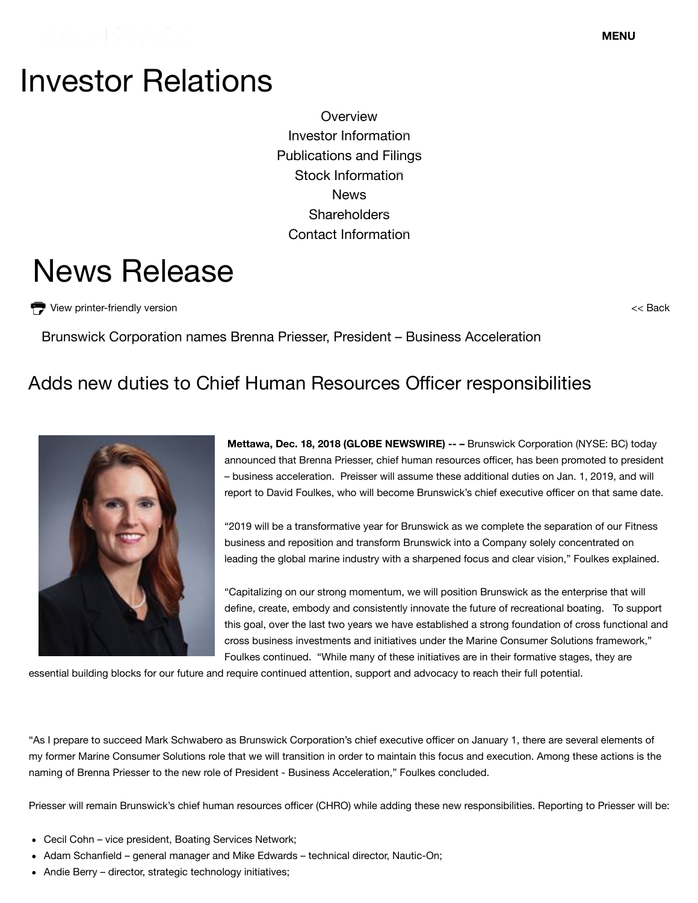## Investor Relations

**Overview** Investor Information Publications and Filings Stock Information News **Shareholders** Contact Information

# News Release

View printer-friendly version

<< Back

Brunswick Corporation names Brenna Priesser, President – Business Acceleration

### Adds new duties to Chief Human Resources Officer responsibilities



**Mettawa, Dec. 18, 2018 (GLOBE NEWSWIRE) -- –** Brunswick Corporation (NYSE: BC) today announced that Brenna Priesser, chief human resources officer, has been promoted to president – business acceleration. Preisser will assume these additional duties on Jan. 1, 2019, and will report to David Foulkes, who will become Brunswick's chief executive officer on that same date.

"2019 will be a transformative year for Brunswick as we complete the separation of our Fitness business and reposition and transform Brunswick into a Company solely concentrated on leading the global marine industry with a sharpened focus and clear vision," Foulkes explained.

"Capitalizing on our strong momentum, we will position Brunswick as the enterprise that will define, create, embody and consistently innovate the future of recreational boating. To support this goal, over the last two years we have established a strong foundation of cross functional and cross business investments and initiatives under the Marine Consumer Solutions framework," Foulkes continued. "While many of these initiatives are in their formative stages, they are

essential building blocks for our future and require continued attention, support and advocacy to reach their full potential.

"As I prepare to succeed Mark Schwabero as Brunswick Corporation's chief executive officer on January 1, there are several elements of my former Marine Consumer Solutions role that we will transition in order to maintain this focus and execution. Among these actions is the naming of Brenna Priesser to the new role of President - Business Acceleration," Foulkes concluded.

Priesser will remain Brunswick's chief human resources officer (CHRO) while adding these new responsibilities. Reporting to Priesser will be:

- Cecil Cohn vice president, Boating Services Network;
- Adam Schanfield general manager and Mike Edwards technical director, Nautic-On;
- http://ir.brunswick.com/news-releases/news-release-details/brunswick-corporation-names-brenna-priesser-president-business 1/2 Andie Berry – director, strategic technology initiatives;